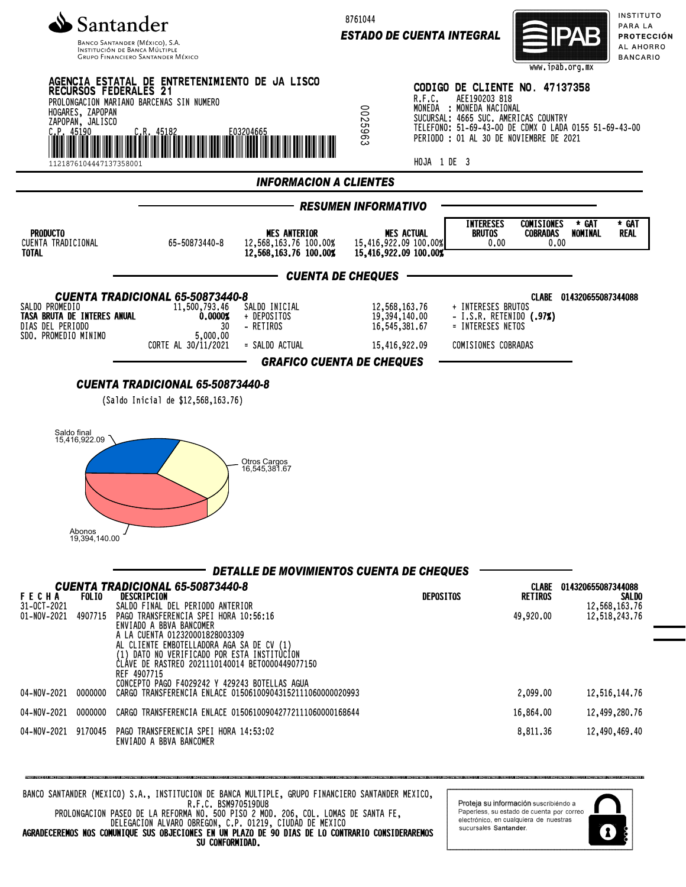

INSTITUCIÓN DE BANCA MÚLTIF **GRUPO FINANCIERO SANTANDER MÉXICO**  8761044

*ESTADO DE CUENTA INTEGRAL*



INSTITUTO PARA LA PROTECCIÓN AL AHORRO **BANCARIO** 



BANCO SANTANDER (MEXICO) S.A., INSTITUCION DE BANCA MULTIPLE, GRUPO FINANCIERO SANTANDER MEXICO, R.F.C. BSM970519DU8 PROLONGACION PASEO DE LA REFORMA NO. 500 PISO 2 MOD. 206, COL. LOMAS DE SANTA FE,

DELEGACION ALVARO OBREGON, C.P. 01219, CIUDAD DE MEXICO AGRADECEREMOS NOS COMUNIQUE SUS OBJECIONES EN UN PLAZO DE 90 DIAS DE LO CONTRARIO CONSIDERAREMOS SU CONFORMIDAD.

Proteja su información suscribiéndo a Paperless, su estado de cuenta por correo electrónico, en cualquiera de nuestras sucursales Santander

1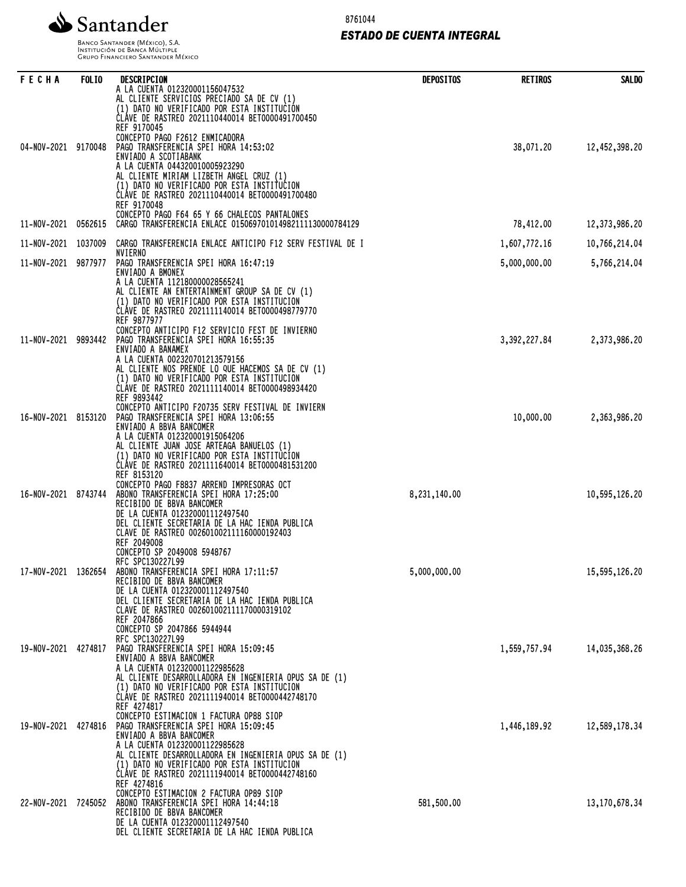

8761044

# *ESTADO DE CUENTA INTEGRAL*

Banco Santander (México), S.A.<br>Institución de Banca Múltiple<br>Grupo Financiero Santander México

| FECHA               | <b>FOLIO</b> | DESCRIPCION<br>A LA CUENTA 012320001156047532<br>AL CLIENTE SERVICIOS PRECIADO SA DE CV (1)<br>(1) DATO NO VERIFICADO POR ESTA INSTITUCIÓN<br>CLÁVE DE RASTREO 2021110440014 BET0000491700450                                                                                                                                  | <b>DEPOSITOS</b> | <b>RETIROS</b> | <b>SALDO</b>  |
|---------------------|--------------|--------------------------------------------------------------------------------------------------------------------------------------------------------------------------------------------------------------------------------------------------------------------------------------------------------------------------------|------------------|----------------|---------------|
| 04-NOV-2021         | 9170048      | REF 9170045<br>CONCEPTO PAGO F2612 ENMICADORA<br>PAGO TRANSFERENCIA SPEI HORA 14:53:02<br>ENVIADO A SCOTIABANK<br>A LA CUENTA 044320010005923290<br>AL CLIENTE MIRIAM LIZBETH ANGEL CRUZ (1)<br>(1) DATO NO VERIFICADO POR ESTA INSTITUCION<br>CLAVE DE RASTREO 2021110440014 BET0000491700480<br>REF 9170048                  |                  | 38,071.20      | 12,452,398.20 |
| 11-NOV-2021         | 0562615      | CONCEPTO PAGO F64 65 Y 66 CHALECOS PANTALONES<br>CARGO TRANSFERENCIA ENLACE 015069701014982111130000784129                                                                                                                                                                                                                     |                  | 78,412.00      | 12,373,986.20 |
| 11-NOV-2021         | 1037009      | CARGO TRANSFERENCIA ENLACE ANTICIPO F12 SERV FESTIVAL DE I                                                                                                                                                                                                                                                                     |                  | 1,607,772.16   | 10,766,214.04 |
| 11-NOV-2021         | 9877977      | NVIERNO<br>PAGO TRANSFERENCIA SPEI HORA 16:47:19                                                                                                                                                                                                                                                                               |                  | 5,000,000.00   | 5,766,214.04  |
| 11-NOV-2021         | 9893442      | ENVIADO A BMONEX<br>A LA CUENTA 112180000028565241<br>AL CLIENTE AN ENTERTAINMENT GROUP SA DE CV (1)<br>(1) DATO NO VERIFICADO POR ESTA INSTITUCION <sup>Y</sup><br>CLAVE DE RASTREO 2021111140014 BET0000498779770<br>REF 9877977<br>CONCEPTO ANTICIPO F12 SERVICIO FEST DE INVIERNO<br>PAGO TRANSFERENCIA SPEI HORA 16:55:35 |                  |                |               |
|                     |              | ENVIADO A BANAMEX<br>A LA CUENTA 002320701213579156<br>AL CLIENTE NOS PRENDE LO QUE HACEMOS SA DE CV (1)<br>(1) DATO NO VERIFICADO POR ESTA INSTITUCION<br>ČLÁVE DE RASTREO 2021111140014 BET0000498934420<br>REF 9893442<br>CONCEPTO ANTICIPO F20735 SERV FESTIVAL DE INVIERN                                                 |                  | 3, 392, 227.84 | 2,373,986.20  |
| 16-NOV-2021         | 8153120      | PAGO TRANSFERENCIA SPEI HORA 13:06:55<br>ENVIADO A BBVA BANCOMER<br>A LA CUENTA 012320001915064206<br>AL CLIENTE JUAN JOSE ARTEAGA BANUELOS (1)<br>(1) DATO NO VERIFICADO POR ESTA INSTITUCION<br>CLÁVE DE RASTREO 2021111640014 BET0000481531200<br>REF 8153120                                                               |                  | 10,000.00      | 2,363,986.20  |
| 16-NOV-2021         | 8743744      | CONCEPTO PAGO F8837 ARREND IMPRESORAS OCT<br>ABONO TRANSFERENCIA SPEI HORA 17:25:00<br>RECIBIDO DE BBVA BANCOMER<br>DE LA CUENTA 012320001112497540<br>DEL CLIENTE SECRETARIA DE LA HAC IENDA PUBLICA<br>CLAVE DE RASTREO 002601002111160000192403<br>REF 2049008<br>CONCEPTO SP 2049008 5948767<br>RFC SPC130227L99           | 8,231,140.00     |                | 10,595,126.20 |
| 17-NOV-2021 1362654 |              | ABONO TRANSFERENCIA SPEI HORA 17:11:57<br>RECIBIDO DE BBVA BANCOMER<br>DE LA CUENTA 012320001112497540<br>DEL CLIENTE SECRETARIA DE LA HAC IENDA PUBLICA<br>CLAVE DE RASTREO 002601002111170000319102<br>REF 2047866<br>CONCEPTO SP 2047866 5944944<br>RFC SPC130227L99                                                        | 5,000,000.00     |                | 15,595,126.20 |
| 19-NOV-2021         | 4274817      | PAGO TRANSFERENCIA SPEI HORA 15:09:45<br>ENVIADO A BBVA BANCOMER<br>A LA CUENTA 012320001122985628<br>AL CLIENTE DESARROLLADORA EN INGENIERIA OPUS SA DE (1)<br>(1) DATO NO VERIFICADO POR ESTA INSTITUCION<br>CLÁVE DE RASTREO 2021111940014 BET0000442748170<br>REF 4274817<br>CONCEPTO ESTIMACION 1 FACTURA OP88 SIOP       |                  | 1,559,757.94   | 14,035,368.26 |
| 19-NOV-2021 4274816 |              | PAGO TRANSFERENCIA SPEI HORA 15:09:45<br>ENVIADO A BBVA BANCOMER<br>A LA CUENTA 012320001122985628<br>AL CLIENTE DESARROLLADORA EN INGENIERIA OPUS SA DE (1)<br>(1) DATO NO VERIFICADO POR ESTA INSTITUCION<br>CLÁVE DE RASTREO 2021111940014 BET0000442748160<br>REF 4274816<br>CONCEPTO ESTIMACION 2 FACTURA OP89 SIOP       |                  | 1,446,189.92   | 12,589,178.34 |
| 22-NOV-2021 7245052 |              | ABONO TRANSFERENCIA SPEI HORA 14:44:18<br>RECIBIDO DE BBVA BANCOMER<br>DE LA CUENTA 012320001112497540<br>DEL CLIENTE SECRETARIA DE LA HAC IENDA PUBLICA                                                                                                                                                                       | 581,500.00       |                | 13,170,678.34 |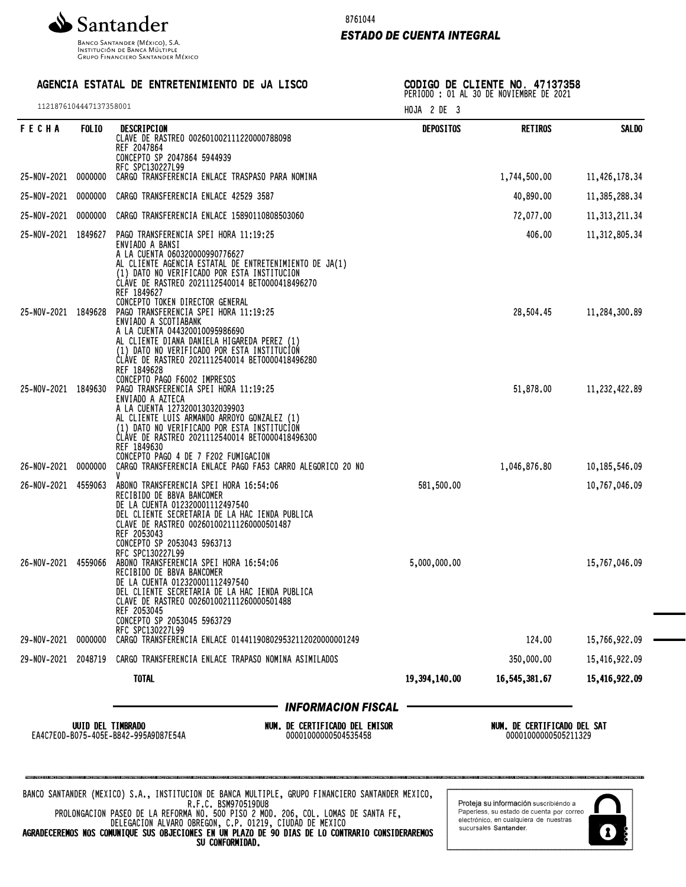

Banco Santander (México), S.A.<br>Institución de Banca Múltiple<br>Grupo Financiero Santander México

## 8761044

### *ESTADO DE CUENTA INTEGRAL*

# AGENCIA ESTATAL DE ENTRETENIMIENTO DE JA LISCO

1121876104447137358001

CODIGO DE CLIENTE NO. 47137358 PERIODO : 01 AL 30 DE NOVIEMBRE DE 2021

|                                                                                                                                                                                                                                                                                                    | HOJA 2 DE 3      |                                                     |                  |
|----------------------------------------------------------------------------------------------------------------------------------------------------------------------------------------------------------------------------------------------------------------------------------------------------|------------------|-----------------------------------------------------|------------------|
| DESCRIPCION<br>CLAVE DE RASTREO 002601002111220000788098<br>REF 2047864<br>CONCEPTO SP 2047864 5944939                                                                                                                                                                                             | <b>DEPOSITOS</b> | <b>RETIROS</b>                                      | <b>SALDO</b>     |
| RFC SPC130227L99<br>CARGO TRANSFERENCIA ENLACE TRASPASO PARA NOMINA                                                                                                                                                                                                                                |                  | 1,744,500.00                                        | 11,426,178.34    |
| CARGO TRANSFERENCIA ENLACE 42529 3587                                                                                                                                                                                                                                                              |                  | 40,890.00                                           | 11,385,288.34    |
| CARGO TRANSFERENCIA ENLACE 15890110808503060                                                                                                                                                                                                                                                       |                  | 72,077.00                                           | 11, 313, 211. 34 |
| PAGO TRANSFERENCIA SPEI HORA 11:19:25<br>ENVIADO A BANSI<br>A LA CUENTA 060320000990776627<br>AL CLIENTE AGENCIA ESTATAL DE ENTRETENIMIENTO DE JA(1)<br>(1) DATO NO VERIFICADO POR ESTA INSTITUCION<br>CLÁVE DE RASTREO 2021112540014 BET0000418496270<br>REF 1849627                              |                  | 406.00                                              | 11,312,805.34    |
| CONCEPTO TOKEN DIRECTOR GENERAL<br>PAGO TRANSFERENCIA SPEI HORA 11:19:25<br>ENVIADO A SCOTIABANK<br>A LA CUENTA 044320010095986690<br>AL CLIENTE DIANA DANIELA HIGAREDA PEREZ (1)<br>(1) DATO NO VERIFICADO POR ESTA INSTITUCION<br>ČLÁVE DE RASTREO 2021112540014 BET0000418496280<br>REF 1849628 |                  | 28,504.45                                           | 11,284,300.89    |
| CONCEPTO PAGO F6002 IMPRESOS<br>PAGO TRANSFERENCIA SPEI HORA 11:19:25<br>ENVIADO A AZTECA<br>A LA CUENTA 127320013032039903<br>AL CLIENTE LUIS ARMANDO ARROYO GONZALEZ (1)<br>(1) DATO NO VERIFICADO POR ESTA INSTITUCION<br>CLÁVE DE RASTREO 2021112540014 BET0000418496300<br>REF 1849630        |                  | 51,878.00                                           | 11,232,422.89    |
| CONCEPTO PAGO 4 DE 7 F202 FUMIGACION<br>CARGO TRANSFERENCIA ENLACE PAGO FA53 CARRO ALEGORICO 20 NO                                                                                                                                                                                                 |                  | 1,046,876.80                                        | 10,185,546.09    |
| ABONO TRANSFERENCIA SPEI HORA 16:54:06<br>RECIBIDO DE BBVA BANCOMER<br>DE LA CUENTA 012320001112497540<br>DEL CLIENTE SECRETARIA DE LA HAC IENDA PUBLICA<br>CLAVE DE RASTREO 002601002111260000501487<br>REF 2053043<br>CONCEPTO SP 2053043 5963713                                                | 581,500.00       |                                                     | 10,767,046.09    |
| RFC SPC130227L99<br>ABONO TRANSFERENCIA SPEI HORA 16:54:06<br>RECIBIDO DE BBVA BANCOMER<br>DE LA CUENTA 012320001112497540<br>DEL CLIENTE SECRETARIA DE LA HAC IENDA PUBLICA<br>CLAVE DE RASTREO 002601002111260000501488<br>REF 2053045<br>CONCEPTO SP 2053045 5963729                            | 5,000,000.00     |                                                     | 15,767,046.09    |
| RFC SPC130227L99<br>CARGO TRANSFERENCIA ENLACE 014411908029532112020000001249                                                                                                                                                                                                                      |                  | 124.00                                              | 15,766,922.09    |
| CARGO TRANSFERENCIA ENLACE TRAPASO NOMINA ASIMILADOS                                                                                                                                                                                                                                               |                  | 350,000.00                                          | 15,416,922.09    |
|                                                                                                                                                                                                                                                                                                    | 19,394,140.00    | 16,545,381.67                                       | 15,416,922.09    |
| <b>INFORMACION FISCAL</b>                                                                                                                                                                                                                                                                          |                  |                                                     |                  |
| NUM. DE CERTIFICADO DEL EMISOR<br>EA4C7E0D-B075-405E-B842-995A9D87E54A<br>00001000000504535458                                                                                                                                                                                                     |                  | NUM. DE CERTIFICADO DEL SAT<br>00001000000505211329 |                  |

DELEGACION ALVARO OBREGON, C.P. 01219, CIUDAD DE MEXICO AGRADECEREMOS NOS COMUNIQUE SUS OBJECIONES EN UN PLAZO DE 90 DIAS DE LO CONTRARIO CONSIDERAREMOS SU CONFORMIDAD.

sucursales Santander.

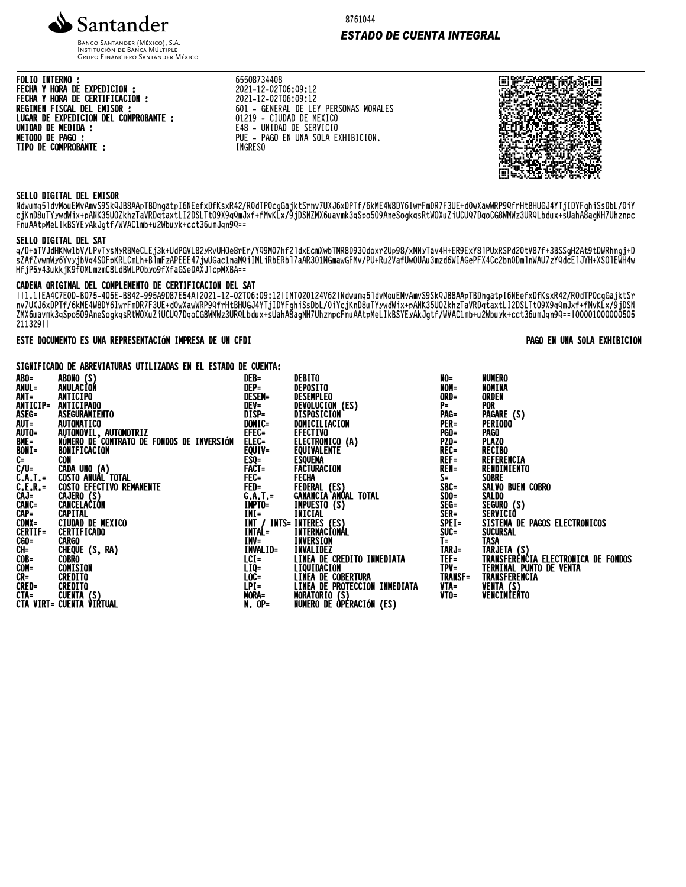

BANCO SANTANDER (MÉXICO), S.A. **INSTITUCIÓN DE BANCA MÚLTIPLE**<br>INSTITUCIÓN DE BANCA MÚLTIPLE<br>GRUPO FINANCIERO SANTANDER MÉXICO

**FOLIO INTERNO:** FECHA Y HORA DE EXPEDICION :<br>FECHA Y HORA DE CERTIFICACION : REGIMEN FISCAL DEL EMISOR : LUGAR DE EXPEDICION DEL COMPROBANTE : UNIDAD DE MEDIDA :<br>METODO DE PAGO : TIPO DE COMPROBANTE :

65508734408 **0300/34400<br>2021-12-02T06:09:12<br>2021-12-02T06:09:12<br>601 - GENERAL DE LEY PERSONAS MORALES<br>01219 - CIUDAD DE MEXICO** E48 - UNIDAD DE SERVICIO<br>PUE - PAGO EN UNA SOLA EXHIBICION.

**INGRESO** 

回**密***恩解* **微紫回** W۳. 医斑驳 п

## SELLO DIGITAL DEL EMISOR

Ndwumq51dvMouEMvAmvS9SkQJB8AApTBDngatpI6NEefxDfKsxR42/ROdTP0cgGajktSrnv7UXJ6xDPTf/6kME4W8DY6IwrFmDR7F3UE+dOwXawWRP9QfrHtBHUGJ4YTjIDYFghiSsDbL/OiY cjKnD8uTYywdWix+pANK35U0ZkhzTaVRDqtaxtLI2DSLTt09X9qQmJxf+fMvKLx/9jDSNZMX6uavmk3qSpo509AneSogkqsRtW0XuZiUCUQ7DqoCG8WMWz3URQLbdux+sUahA8agNH7Uhznpc FnuAAtpMeLIkBSYEyAkJqtf/WVAC1mb+u2Wbuyk+cct36umJqn9Q==

#### SELLO DIGITAL DEL SAT

q/D+aTVJdHKNwIbV/LPvTysNyRBMeCLEj3k+UdPGVL82yRvUHOe8rEr/YQ9M07hf21dxEcmXwbTMR8D93Odoxr2Up98/xMNyTav4H+ER9ExY81PUxRSPd2OtV87f+3BSSgH2At9tDWRhngj+D<br>sZAfZvwmWy6YvyjbVq4SOFpKRLCmLh+B1mFzAPEEE47jwUGac1naMQiIMLiRbERb17aAR301MGma HfjP5y43ukkjK9fOMLmzmC8LdBWLPObyo9fXfaGSeDAXJ1cpMXBA==

### CADENA ORIGINAL DEL COMPLEMENTO DE CERTIFICACION DEL SAT

II1.1IEA4C7E0D-B075-405E-B842-995A9D87E54AI2O21-12-O2T06:09:12IINT020124V62INdwumq51dvMouEMvAmvS9SkQJB8AApTBDnqatpI6NEefxDfKsxR42/ROdTP0cqGajktSr nv7UXJ6xDPTF/6kME4W8DY6IwrFmDR7F3UE+dOwXawWRP9QfrHtBHUGJ4YTjIDYFgh1SsDbL/O1YcjKnD8uTYywdW1x+pANK35UOZKhzTaVRDqtaxtL12DSLTtO9X9qQmJxf+fMvKLx/9jDSN<br>ZMX6uavmk3qSpo5O9AneSogkqsRtWOXuZiUCUQ7DqoCG8WMWz3URQLbdux+sUahA8agNH7Uhznpc 21132911

### ESTE DOCUMENTO ES UNA REPRESENTACIÓN IMPRESA DE UN CFDI

#### SIGNIFICADO DE ABREVIATURAS UTILIZADAS EN EL ESTADO DE CUENTA:

| ABO=<br>ANUL=<br>ANT=<br>ANTICIP=<br>ASEG=<br>AUT=<br>AUT0=<br>BME=<br>$\frac{BON}{C}$<br>$C/U=$<br>C.A.T. =<br>C.E.R. =<br>CAJ=<br>CANC=<br>CAP=<br>CDMX=<br>CERTIF=<br>CGO=<br>CH=<br>COB=<br>COM=<br>$CR =$<br><b>CRED=</b> | ABONO (S)<br>ANULACIÓN<br>ANTICIPO<br>ANTICIPADO<br>ASEGURAMIENTO<br><b>AUTOMATICO</b><br>AUTOMOVIL, AUTOMOTRIZ<br>NÚMERO DE CONTRATO DE FONDOS DE INVERSIÓN<br>BONIFICACION<br>CON<br>CADA UNO (A)<br>COSTO ANUAL TOTAL<br><b>COSTO EFECTIVO REMANENTE</b><br>CAJERO (S)<br>CANCELACIÓN<br><b>CAPITAL</b><br>CIUDAD DE MEXICO<br><b>CERTIFICADO</b><br>CARGO<br>CHEQUE (S, RA)<br><b>COBRO</b><br>COMISION<br><b>CREDITO</b><br><b>CREDITO</b> | DEB=<br>DEP=<br><b>DESEM=</b><br>DEV=<br>DISP=<br>Domic=<br>EFEC=<br>ELEC=<br>EQUIV=<br>ESQ=<br>FACT=<br>FEC=<br>FED=<br>G.A.T.=<br>IMPTO=<br>INI=<br><b>INTAL=</b><br>INV=<br>INVALID=<br>LCI=<br>LIQ=<br>LOC=<br>LPI= | DEBITO<br>DEPOSITO<br>DESEMPLEO<br>DEVOLUCION (ES)<br>DISPOSICION<br>DOMICILIACION<br>EFECTIVO<br>ELECTRONICO (A)<br><b>EQUIVALENTE</b><br>ESQUEMA<br><b>FACTURACION<br/>FFCHA</b><br>FEDERAL (ES)<br>GANANCIA ANUAL TOTAL<br>IMPUESTO (S)<br>Inicial<br>INT / INTS= INTERES (ES)<br>INTERNACIONAL<br>INVERSION<br><b>INVALIDEZ</b><br>LINEA DE CREDITO INMEDIATA<br><b>LIQUIDACIÓN</b><br>LINEA DE COBERTURA<br>LINEA DE PROTECCION INMEDIATA | NO=<br>NOM=<br>ORD=<br>$P =$<br>PAG=<br><b>PER=</b><br><b>PGO=</b><br>PZO=<br>REC=<br>$REF =$<br>REN=<br>S=<br>SBC=<br>$SDO =$<br>SEG=<br>SER=<br>SPE I=<br>SUC=<br>$I =$<br>TARJ=<br>$TEF =$<br>$TPV =$<br><b>TRANSF=</b><br>VTA=<br>$V$ TO= | <b>NUMERO</b><br>NOMINA<br>ORDEN<br><b>POR</b><br>PAGARE (S)<br><b>PERIODO</b><br><b>PAGO</b><br><b>PLAZO</b><br><b>RECIBO</b><br>REFERENCIA<br>RENDIMIENTO<br><b>SOBRE</b><br>SALVO BUEN COBRO<br><b>SALDO</b><br>SEGURO (S)<br>SERVICIO<br>SISTEMA DE PAGOS ELECTRONICOS<br><b>SUCURSAL</b><br><b>TASA</b><br>TARJETA (S)<br>TRANSFERENCIA ELECTRONICA DE FONDOS<br>TERMINAL PUNTO DE VENTA<br>TRANSFERENCIA<br>VENTA (S)<br>VENCIMIENTO |
|--------------------------------------------------------------------------------------------------------------------------------------------------------------------------------------------------------------------------------|-------------------------------------------------------------------------------------------------------------------------------------------------------------------------------------------------------------------------------------------------------------------------------------------------------------------------------------------------------------------------------------------------------------------------------------------------|-------------------------------------------------------------------------------------------------------------------------------------------------------------------------------------------------------------------------|------------------------------------------------------------------------------------------------------------------------------------------------------------------------------------------------------------------------------------------------------------------------------------------------------------------------------------------------------------------------------------------------------------------------------------------------|-----------------------------------------------------------------------------------------------------------------------------------------------------------------------------------------------------------------------------------------------|--------------------------------------------------------------------------------------------------------------------------------------------------------------------------------------------------------------------------------------------------------------------------------------------------------------------------------------------------------------------------------------------------------------------------------------------|
|                                                                                                                                                                                                                                | CTA= CUENTA (S)<br>CTA VIRT= CUENTA VIRTUAL                                                                                                                                                                                                                                                                                                                                                                                                     | <b>MORA=<br/>N. OP=</b>                                                                                                                                                                                                 | MORATORIO (S)<br>MORATORIO (S)<br>NUMERO DE OPERACIÓN (ES)                                                                                                                                                                                                                                                                                                                                                                                     |                                                                                                                                                                                                                                               |                                                                                                                                                                                                                                                                                                                                                                                                                                            |

**ESTADO DE CUENTA INTEGRAL** 

#### PAGO EN UNA SOLA EXHIBICION